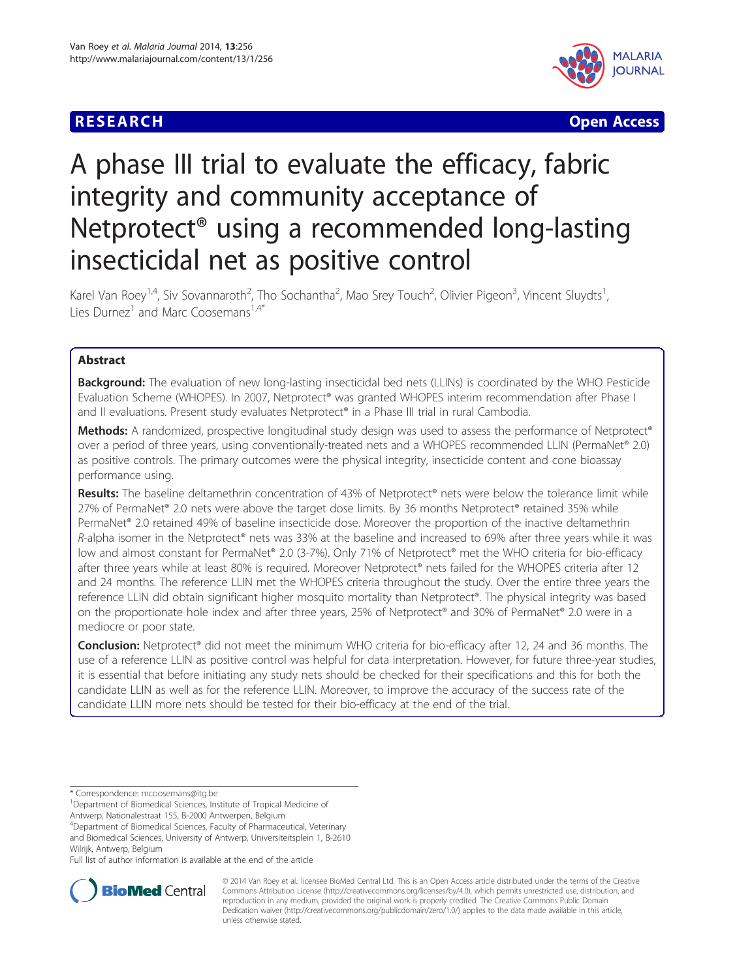## **RESEARCH CHE Open Access**



# A phase III trial to evaluate the efficacy, fabric integrity and community acceptance of Netprotect® using a recommended long-lasting insecticidal net as positive control

Karel Van Roey<sup>1,4</sup>, Siv Sovannaroth<sup>2</sup>, Tho Sochantha<sup>2</sup>, Mao Srey Touch<sup>2</sup>, Olivier Pigeon<sup>3</sup>, Vincent Sluydts<sup>1</sup> , Lies Durnez<sup>1</sup> and Marc Coosemans<sup>1,4\*</sup>

## Abstract

Background: The evaluation of new long-lasting insecticidal bed nets (LLINs) is coordinated by the WHO Pesticide Evaluation Scheme (WHOPES). In 2007, Netprotect® was granted WHOPES interim recommendation after Phase I and II evaluations. Present study evaluates Netprotect<sup>®</sup> in a Phase III trial in rural Cambodia.

Methods: A randomized, prospective longitudinal study design was used to assess the performance of Netprotect® over a period of three years, using conventionally-treated nets and a WHOPES recommended LLIN (PermaNet® 2.0) as positive controls. The primary outcomes were the physical integrity, insecticide content and cone bioassay performance using.

Results: The baseline deltamethrin concentration of 43% of Netprotect® nets were below the tolerance limit while 27% of PermaNet® 2.0 nets were above the target dose limits. By 36 months Netprotect® retained 35% while PermaNet® 2.0 retained 49% of baseline insecticide dose. Moreover the proportion of the inactive deltamethrin R-alpha isomer in the Netprotect® nets was 33% at the baseline and increased to 69% after three years while it was low and almost constant for PermaNet® 2.0 (3-7%). Only 71% of Netprotect® met the WHO criteria for bio-efficacy after three years while at least 80% is required. Moreover Netprotect® nets failed for the WHOPES criteria after 12 and 24 months. The reference LLIN met the WHOPES criteria throughout the study. Over the entire three years the reference LLIN did obtain significant higher mosquito mortality than Netprotect®. The physical integrity was based on the proportionate hole index and after three years, 25% of Netprotect® and 30% of PermaNet® 2.0 were in a mediocre or poor state.

Conclusion: Netprotect® did not meet the minimum WHO criteria for bio-efficacy after 12, 24 and 36 months. The use of a reference LLIN as positive control was helpful for data interpretation. However, for future three-year studies, it is essential that before initiating any study nets should be checked for their specifications and this for both the candidate LLIN as well as for the reference LLIN. Moreover, to improve the accuracy of the success rate of the candidate LLIN more nets should be tested for their bio-efficacy at the end of the trial.

<sup>1</sup>Department of Biomedical Sciences, Institute of Tropical Medicine of

Antwerp, Nationalestraat 155, B-2000 Antwerpen, Belgium

4 Department of Biomedical Sciences, Faculty of Pharmaceutical, Veterinary and Biomedical Sciences, University of Antwerp, Universiteitsplein 1, B-2610 Wilrijk, Antwerp, Belgium

Full list of author information is available at the end of the article



© 2014 Van Roey et al.; licensee BioMed Central Ltd. This is an Open Access article distributed under the terms of the Creative Commons Attribution License [\(http://creativecommons.org/licenses/by/4.0\)](http://creativecommons.org/licenses/by/4.0), which permits unrestricted use, distribution, and reproduction in any medium, provided the original work is properly credited. The Creative Commons Public Domain Dedication waiver [\(http://creativecommons.org/publicdomain/zero/1.0/](http://creativecommons.org/publicdomain/zero/1.0/)) applies to the data made available in this article, unless otherwise stated.

<sup>\*</sup> Correspondence: [mcoosemans@itg.be](mailto:mcoosemans@itg.be) <sup>1</sup>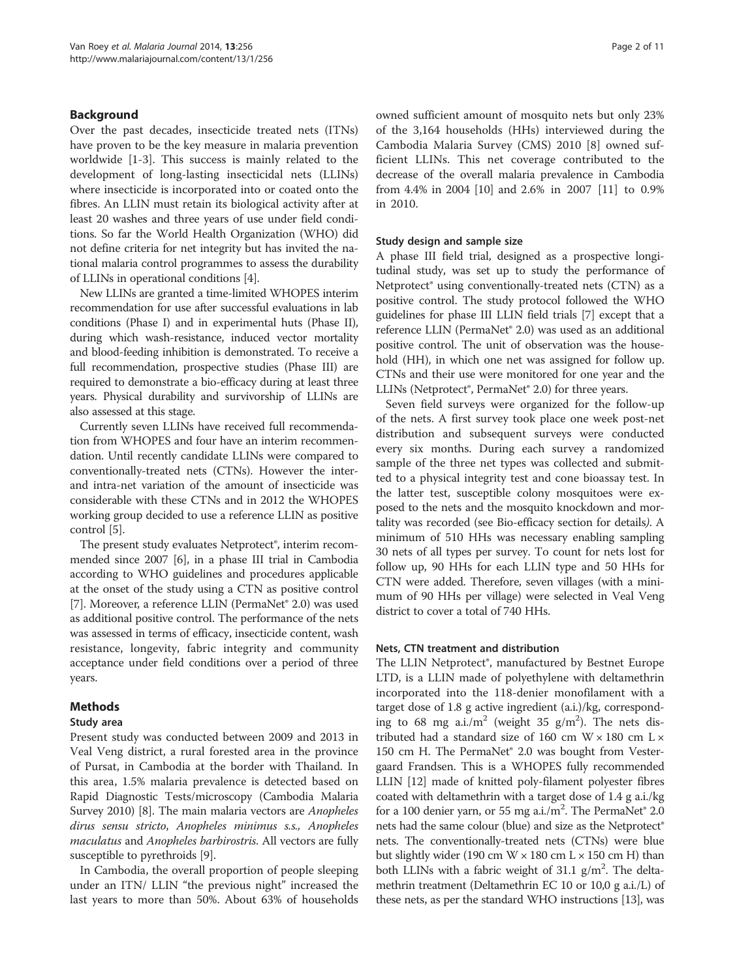## Background

Over the past decades, insecticide treated nets (ITNs) have proven to be the key measure in malaria prevention worldwide [\[1](#page-9-0)-[3\]](#page-9-0). This success is mainly related to the development of long-lasting insecticidal nets (LLINs) where insecticide is incorporated into or coated onto the fibres. An LLIN must retain its biological activity after at least 20 washes and three years of use under field conditions. So far the World Health Organization (WHO) did not define criteria for net integrity but has invited the national malaria control programmes to assess the durability of LLINs in operational conditions [\[4](#page-9-0)].

New LLINs are granted a time-limited WHOPES interim recommendation for use after successful evaluations in lab conditions (Phase I) and in experimental huts (Phase II), during which wash-resistance, induced vector mortality and blood-feeding inhibition is demonstrated. To receive a full recommendation, prospective studies (Phase III) are required to demonstrate a bio-efficacy during at least three years. Physical durability and survivorship of LLINs are also assessed at this stage.

Currently seven LLINs have received full recommendation from WHOPES and four have an interim recommendation. Until recently candidate LLINs were compared to conventionally-treated nets (CTNs). However the interand intra-net variation of the amount of insecticide was considerable with these CTNs and in 2012 the WHOPES working group decided to use a reference LLIN as positive control [\[5](#page-9-0)].

The present study evaluates Netprotect<sup>®</sup>, interim recommended since 2007 [\[6](#page-9-0)], in a phase III trial in Cambodia according to WHO guidelines and procedures applicable at the onset of the study using a CTN as positive control [[7\]](#page-9-0). Moreover, a reference LLIN (PermaNet<sup>®</sup> 2.0) was used as additional positive control. The performance of the nets was assessed in terms of efficacy, insecticide content, wash resistance, longevity, fabric integrity and community acceptance under field conditions over a period of three years.

## Methods

## Study area

Present study was conducted between 2009 and 2013 in Veal Veng district, a rural forested area in the province of Pursat, in Cambodia at the border with Thailand. In this area, 1.5% malaria prevalence is detected based on Rapid Diagnostic Tests/microscopy (Cambodia Malaria Survey 2010) [\[8](#page-9-0)]. The main malaria vectors are *Anopheles* dirus sensu stricto, Anopheles minimus s.s., Anopheles maculatus and Anopheles barbirostris. All vectors are fully susceptible to pyrethroids [\[9\]](#page-9-0).

In Cambodia, the overall proportion of people sleeping under an ITN/ LLIN "the previous night" increased the last years to more than 50%. About 63% of households

owned sufficient amount of mosquito nets but only 23% of the 3,164 households (HHs) interviewed during the Cambodia Malaria Survey (CMS) 2010 [[8\]](#page-9-0) owned sufficient LLINs. This net coverage contributed to the decrease of the overall malaria prevalence in Cambodia from 4.4% in 2004 [[10](#page-9-0)] and 2.6% in 2007 [[11\]](#page-9-0) to 0.9% in 2010.

## Study design and sample size

A phase III field trial, designed as a prospective longitudinal study, was set up to study the performance of Netprotect<sup>®</sup> using conventionally-treated nets (CTN) as a positive control. The study protocol followed the WHO guidelines for phase III LLIN field trials [\[7](#page-9-0)] except that a reference LLIN (PermaNet® 2.0) was used as an additional positive control. The unit of observation was the household (HH), in which one net was assigned for follow up. CTNs and their use were monitored for one year and the LLINs (Netprotect®, PermaNet® 2.0) for three years.

Seven field surveys were organized for the follow-up of the nets. A first survey took place one week post-net distribution and subsequent surveys were conducted every six months. During each survey a randomized sample of the three net types was collected and submitted to a physical integrity test and cone bioassay test. In the latter test, susceptible colony mosquitoes were exposed to the nets and the mosquito knockdown and mortality was recorded (see [Bio-efficacy](#page-2-0) section for details). A minimum of 510 HHs was necessary enabling sampling 30 nets of all types per survey. To count for nets lost for follow up, 90 HHs for each LLIN type and 50 HHs for CTN were added. Therefore, seven villages (with a minimum of 90 HHs per village) were selected in Veal Veng district to cover a total of 740 HHs.

#### Nets, CTN treatment and distribution

The LLIN Netprotect®, manufactured by Bestnet Europe LTD, is a LLIN made of polyethylene with deltamethrin incorporated into the 118-denier monofilament with a target dose of 1.8 g active ingredient (a.i.)/kg, corresponding to 68 mg a.i./ $m^2$  (weight 35 g/m<sup>2</sup>). The nets distributed had a standard size of 160 cm  $W \times 180$  cm  $L \times$ 150 cm H. The PermaNet® 2.0 was bought from Vestergaard Frandsen. This is a WHOPES fully recommended LLIN [\[12\]](#page-9-0) made of knitted poly-filament polyester fibres coated with deltamethrin with a target dose of 1.4 g a.i./kg for a 100 denier yarn, or 55 mg a.i./ $m^2$ . The PermaNet® 2.0 nets had the same colour (blue) and size as the Netprotect® nets. The conventionally-treated nets (CTNs) were blue but slightly wider (190 cm  $W \times 180$  cm  $L \times 150$  cm H) than both LLINs with a fabric weight of  $31.1$  g/m<sup>2</sup>. The deltamethrin treatment (Deltamethrin EC 10 or 10,0 g a.i./L) of these nets, as per the standard WHO instructions [[13](#page-9-0)], was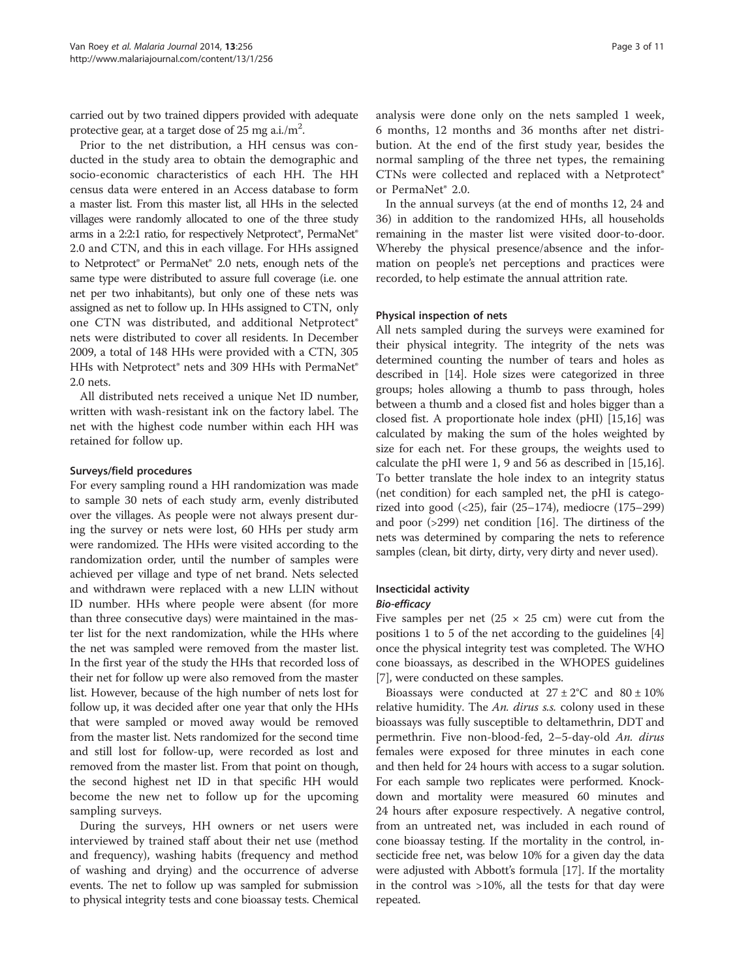<span id="page-2-0"></span>carried out by two trained dippers provided with adequate protective gear, at a target dose of 25 mg a.i./m<sup>2</sup>.

Prior to the net distribution, a HH census was conducted in the study area to obtain the demographic and socio-economic characteristics of each HH. The HH census data were entered in an Access database to form a master list. From this master list, all HHs in the selected villages were randomly allocated to one of the three study arms in a 2:2:1 ratio, for respectively Netprotect®, PermaNet® 2.0 and CTN, and this in each village. For HHs assigned to Netprotect® or PermaNet® 2.0 nets, enough nets of the same type were distributed to assure full coverage (i.e. one net per two inhabitants), but only one of these nets was assigned as net to follow up. In HHs assigned to CTN, only one CTN was distributed, and additional Netprotect® nets were distributed to cover all residents. In December 2009, a total of 148 HHs were provided with a CTN, 305 HHs with Netprotect<sup>®</sup> nets and 309 HHs with PermaNet<sup>®</sup> 2.0 nets.

All distributed nets received a unique Net ID number, written with wash-resistant ink on the factory label. The net with the highest code number within each HH was retained for follow up.

## Surveys/field procedures

For every sampling round a HH randomization was made to sample 30 nets of each study arm, evenly distributed over the villages. As people were not always present during the survey or nets were lost, 60 HHs per study arm were randomized. The HHs were visited according to the randomization order, until the number of samples were achieved per village and type of net brand. Nets selected and withdrawn were replaced with a new LLIN without ID number. HHs where people were absent (for more than three consecutive days) were maintained in the master list for the next randomization, while the HHs where the net was sampled were removed from the master list. In the first year of the study the HHs that recorded loss of their net for follow up were also removed from the master list. However, because of the high number of nets lost for follow up, it was decided after one year that only the HHs that were sampled or moved away would be removed from the master list. Nets randomized for the second time and still lost for follow-up, were recorded as lost and removed from the master list. From that point on though, the second highest net ID in that specific HH would become the new net to follow up for the upcoming sampling surveys.

During the surveys, HH owners or net users were interviewed by trained staff about their net use (method and frequency), washing habits (frequency and method of washing and drying) and the occurrence of adverse events. The net to follow up was sampled for submission to physical integrity tests and cone bioassay tests. Chemical

analysis were done only on the nets sampled 1 week, 6 months, 12 months and 36 months after net distribution. At the end of the first study year, besides the normal sampling of the three net types, the remaining CTNs were collected and replaced with a Netprotect® or PermaNet® 2.0.

In the annual surveys (at the end of months 12, 24 and 36) in addition to the randomized HHs, all households remaining in the master list were visited door-to-door. Whereby the physical presence/absence and the information on people's net perceptions and practices were recorded, to help estimate the annual attrition rate.

#### Physical inspection of nets

All nets sampled during the surveys were examined for their physical integrity. The integrity of the nets was determined counting the number of tears and holes as described in [[14](#page-9-0)]. Hole sizes were categorized in three groups; holes allowing a thumb to pass through, holes between a thumb and a closed fist and holes bigger than a closed fist. A proportionate hole index (pHI) [\[15,16\]](#page-9-0) was calculated by making the sum of the holes weighted by size for each net. For these groups, the weights used to calculate the pHI were 1, 9 and 56 as described in [\[15,16](#page-9-0)]. To better translate the hole index to an integrity status (net condition) for each sampled net, the pHI is categorized into good (<25), fair (25–174), mediocre (175–299) and poor (>299) net condition [[16](#page-9-0)]. The dirtiness of the nets was determined by comparing the nets to reference samples (clean, bit dirty, dirty, very dirty and never used).

## Insecticidal activity Bio-efficacy

Five samples per net  $(25 \times 25 \text{ cm})$  were cut from the positions 1 to 5 of the net according to the guidelines [[4](#page-9-0)] once the physical integrity test was completed. The WHO cone bioassays, as described in the WHOPES guidelines [[7\]](#page-9-0), were conducted on these samples.

Bioassays were conducted at  $27 \pm 2^{\circ}$ C and  $80 \pm 10\%$ relative humidity. The An. dirus s.s. colony used in these bioassays was fully susceptible to deltamethrin, DDT and permethrin. Five non-blood-fed, 2–5-day-old An. dirus females were exposed for three minutes in each cone and then held for 24 hours with access to a sugar solution. For each sample two replicates were performed. Knockdown and mortality were measured 60 minutes and 24 hours after exposure respectively. A negative control, from an untreated net, was included in each round of cone bioassay testing. If the mortality in the control, insecticide free net, was below 10% for a given day the data were adjusted with Abbott's formula [[17](#page-10-0)]. If the mortality in the control was >10%, all the tests for that day were repeated.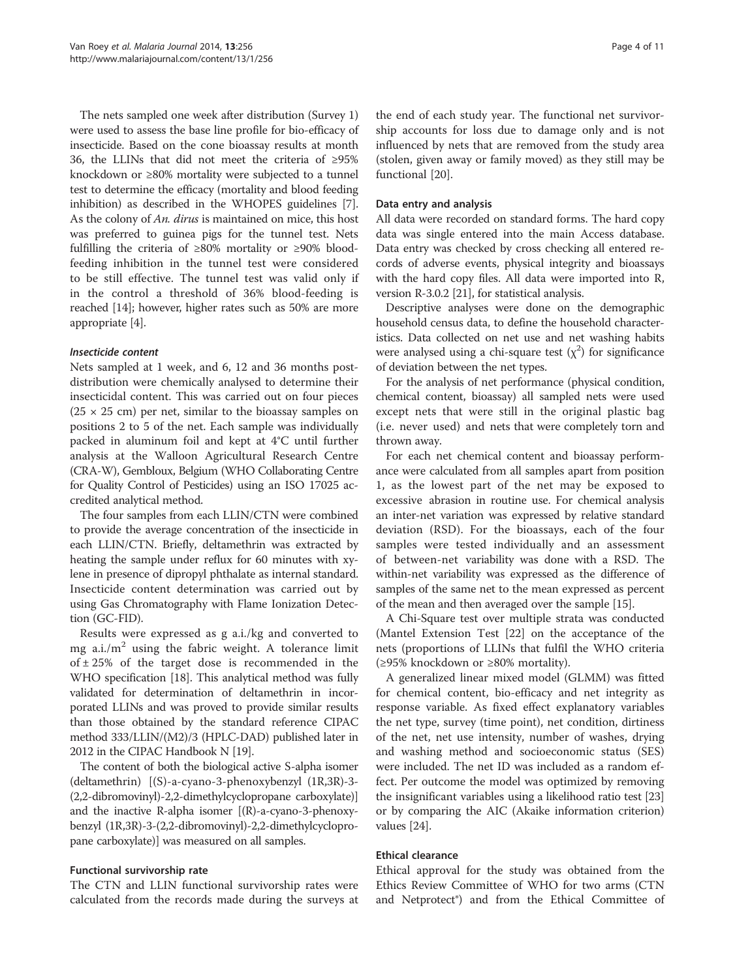The nets sampled one week after distribution (Survey 1) were used to assess the base line profile for bio-efficacy of insecticide. Based on the cone bioassay results at month 36, the LLINs that did not meet the criteria of ≥95% knockdown or ≥80% mortality were subjected to a tunnel test to determine the efficacy (mortality and blood feeding inhibition) as described in the WHOPES guidelines [[7](#page-9-0)]. As the colony of An. dirus is maintained on mice, this host was preferred to guinea pigs for the tunnel test. Nets fulfilling the criteria of ≥80% mortality or ≥90% bloodfeeding inhibition in the tunnel test were considered to be still effective. The tunnel test was valid only if in the control a threshold of 36% blood-feeding is reached [\[14\]](#page-9-0); however, higher rates such as 50% are more appropriate [\[4](#page-9-0)].

## Insecticide content

Nets sampled at 1 week, and 6, 12 and 36 months postdistribution were chemically analysed to determine their insecticidal content. This was carried out on four pieces  $(25 \times 25$  cm) per net, similar to the bioassay samples on positions 2 to 5 of the net. Each sample was individually packed in aluminum foil and kept at 4°C until further analysis at the Walloon Agricultural Research Centre (CRA-W), Gembloux, Belgium (WHO Collaborating Centre for Quality Control of Pesticides) using an ISO 17025 accredited analytical method.

The four samples from each LLIN/CTN were combined to provide the average concentration of the insecticide in each LLIN/CTN. Briefly, deltamethrin was extracted by heating the sample under reflux for 60 minutes with xylene in presence of dipropyl phthalate as internal standard. Insecticide content determination was carried out by using Gas Chromatography with Flame Ionization Detection (GC-FID).

Results were expressed as g a.i./kg and converted to mg a.i./ $m<sup>2</sup>$  using the fabric weight. A tolerance limit of  $\pm 25$ % of the target dose is recommended in the WHO specification [\[18\]](#page-10-0). This analytical method was fully validated for determination of deltamethrin in incorporated LLINs and was proved to provide similar results than those obtained by the standard reference CIPAC method 333/LLIN/(M2)/3 (HPLC-DAD) published later in 2012 in the CIPAC Handbook N [\[19\]](#page-10-0).

The content of both the biological active S-alpha isomer (deltamethrin) [(S)-a-cyano-3-phenoxybenzyl (1R,3R)-3- (2,2-dibromovinyl)-2,2-dimethylcyclopropane carboxylate)] and the inactive R-alpha isomer  $[(R)$ -a-cyano-3-phenoxybenzyl (1R,3R)-3-(2,2-dibromovinyl)-2,2-dimethylcyclopropane carboxylate)] was measured on all samples.

## Functional survivorship rate

The CTN and LLIN functional survivorship rates were calculated from the records made during the surveys at

the end of each study year. The functional net survivorship accounts for loss due to damage only and is not influenced by nets that are removed from the study area (stolen, given away or family moved) as they still may be functional [\[20\]](#page-10-0).

## Data entry and analysis

All data were recorded on standard forms. The hard copy data was single entered into the main Access database. Data entry was checked by cross checking all entered records of adverse events, physical integrity and bioassays with the hard copy files. All data were imported into R, version R-3.0.2 [[21](#page-10-0)], for statistical analysis.

Descriptive analyses were done on the demographic household census data, to define the household characteristics. Data collected on net use and net washing habits were analysed using a chi-square test  $(\chi^2)$  for significance of deviation between the net types.

For the analysis of net performance (physical condition, chemical content, bioassay) all sampled nets were used except nets that were still in the original plastic bag (i.e. never used) and nets that were completely torn and thrown away.

For each net chemical content and bioassay performance were calculated from all samples apart from position 1, as the lowest part of the net may be exposed to excessive abrasion in routine use. For chemical analysis an inter-net variation was expressed by relative standard deviation (RSD). For the bioassays, each of the four samples were tested individually and an assessment of between-net variability was done with a RSD. The within-net variability was expressed as the difference of samples of the same net to the mean expressed as percent of the mean and then averaged over the sample [[15](#page-9-0)].

A Chi-Square test over multiple strata was conducted (Mantel Extension Test [[22](#page-10-0)] on the acceptance of the nets (proportions of LLINs that fulfil the WHO criteria (≥95% knockdown or ≥80% mortality).

A generalized linear mixed model (GLMM) was fitted for chemical content, bio-efficacy and net integrity as response variable. As fixed effect explanatory variables the net type, survey (time point), net condition, dirtiness of the net, net use intensity, number of washes, drying and washing method and socioeconomic status (SES) were included. The net ID was included as a random effect. Per outcome the model was optimized by removing the insignificant variables using a likelihood ratio test [[23](#page-10-0)] or by comparing the AIC (Akaike information criterion) values [[24\]](#page-10-0).

## Ethical clearance

Ethical approval for the study was obtained from the Ethics Review Committee of WHO for two arms (CTN and Netprotect®) and from the Ethical Committee of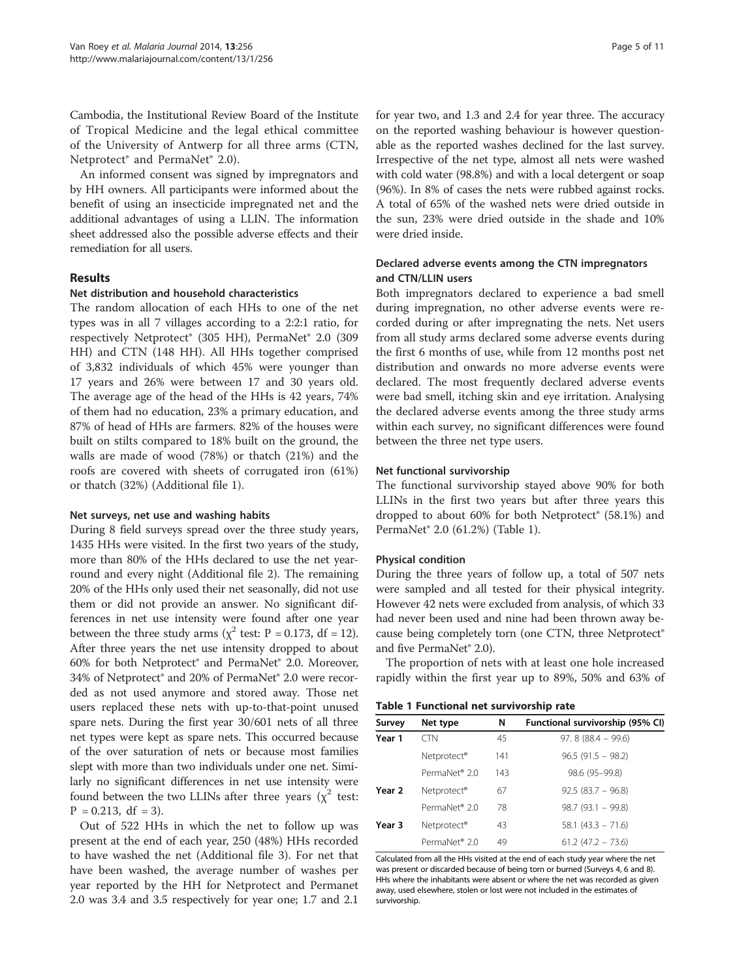Cambodia, the Institutional Review Board of the Institute of Tropical Medicine and the legal ethical committee of the University of Antwerp for all three arms (CTN, Netprotect<sup>®</sup> and PermaNet<sup>®</sup> 2.0).

An informed consent was signed by impregnators and by HH owners. All participants were informed about the benefit of using an insecticide impregnated net and the additional advantages of using a LLIN. The information sheet addressed also the possible adverse effects and their remediation for all users.

## Results

## Net distribution and household characteristics

The random allocation of each HHs to one of the net types was in all 7 villages according to a 2:2:1 ratio, for respectively Netprotect® (305 HH), PermaNet® 2.0 (309 HH) and CTN (148 HH). All HHs together comprised of 3,832 individuals of which 45% were younger than 17 years and 26% were between 17 and 30 years old. The average age of the head of the HHs is 42 years, 74% of them had no education, 23% a primary education, and 87% of head of HHs are farmers. 82% of the houses were built on stilts compared to 18% built on the ground, the walls are made of wood (78%) or thatch (21%) and the roofs are covered with sheets of corrugated iron (61%) or thatch (32%) (Additional file [1\)](#page-9-0).

#### Net surveys, net use and washing habits

During 8 field surveys spread over the three study years, 1435 HHs were visited. In the first two years of the study, more than 80% of the HHs declared to use the net yearround and every night (Additional file [2\)](#page-9-0). The remaining 20% of the HHs only used their net seasonally, did not use them or did not provide an answer. No significant differences in net use intensity were found after one year between the three study arms ( $\chi^2$  test: P = 0.173, df = 12). After three years the net use intensity dropped to about 60% for both Netprotect® and PermaNet® 2.0. Moreover, 34% of Netprotect® and 20% of PermaNet® 2.0 were recorded as not used anymore and stored away. Those net users replaced these nets with up-to-that-point unused spare nets. During the first year 30/601 nets of all three net types were kept as spare nets. This occurred because of the over saturation of nets or because most families slept with more than two individuals under one net. Similarly no significant differences in net use intensity were found between the two LLINs after three years  $(\chi^2$  test:  $P = 0.213$ , df = 3).

Out of 522 HHs in which the net to follow up was present at the end of each year, 250 (48%) HHs recorded to have washed the net (Additional file [3\)](#page-9-0). For net that have been washed, the average number of washes per year reported by the HH for Netprotect and Permanet 2.0 was 3.4 and 3.5 respectively for year one; 1.7 and 2.1

for year two, and 1.3 and 2.4 for year three. The accuracy on the reported washing behaviour is however questionable as the reported washes declined for the last survey. Irrespective of the net type, almost all nets were washed with cold water (98.8%) and with a local detergent or soap (96%). In 8% of cases the nets were rubbed against rocks. A total of 65% of the washed nets were dried outside in the sun, 23% were dried outside in the shade and 10% were dried inside.

## Declared adverse events among the CTN impregnators and CTN/LLIN users

Both impregnators declared to experience a bad smell during impregnation, no other adverse events were recorded during or after impregnating the nets. Net users from all study arms declared some adverse events during the first 6 months of use, while from 12 months post net distribution and onwards no more adverse events were declared. The most frequently declared adverse events were bad smell, itching skin and eye irritation. Analysing the declared adverse events among the three study arms within each survey, no significant differences were found between the three net type users.

## Net functional survivorship

The functional survivorship stayed above 90% for both LLINs in the first two years but after three years this dropped to about 60% for both Netprotect® (58.1%) and PermaNet® 2.0 (61.2%) (Table 1).

## Physical condition

During the three years of follow up, a total of 507 nets were sampled and all tested for their physical integrity. However 42 nets were excluded from analysis, of which 33 had never been used and nine had been thrown away because being completely torn (one CTN, three Netprotect® and five PermaNet® 2.0).

The proportion of nets with at least one hole increased rapidly within the first year up to 89%, 50% and 63% of

|  |  | Table 1 Functional net survivorship rate |  |
|--|--|------------------------------------------|--|
|--|--|------------------------------------------|--|

| Survey | Net type                  | N   | Functional survivorship (95% CI) |
|--------|---------------------------|-----|----------------------------------|
| Year 1 | СTN                       | 45  | $97.8(88.4 - 99.6)$              |
|        | Netprotect <sup>®</sup>   | 141 | $96.5(91.5 - 98.2)$              |
|        | PermaNet <sup>®</sup> 20  | 143 | 98.6 (95-99.8)                   |
| Year 2 | Netprotect <sup>®</sup>   | 67  | $92.5(83.7 - 96.8)$              |
|        | PermaNet <sup>®</sup> 2.0 | 78  | $98.7(93.1 - 99.8)$              |
| Year 3 | Netprotect <sup>®</sup>   | 43  | $58.1$ (43.3 - 71.6)             |
|        | PermaNet <sup>®</sup> 2.0 | 49  | $61.2(47.2 - 73.6)$              |

Calculated from all the HHs visited at the end of each study year where the net was present or discarded because of being torn or burned (Surveys 4, 6 and 8). HHs where the inhabitants were absent or where the net was recorded as given away, used elsewhere, stolen or lost were not included in the estimates of survivorship.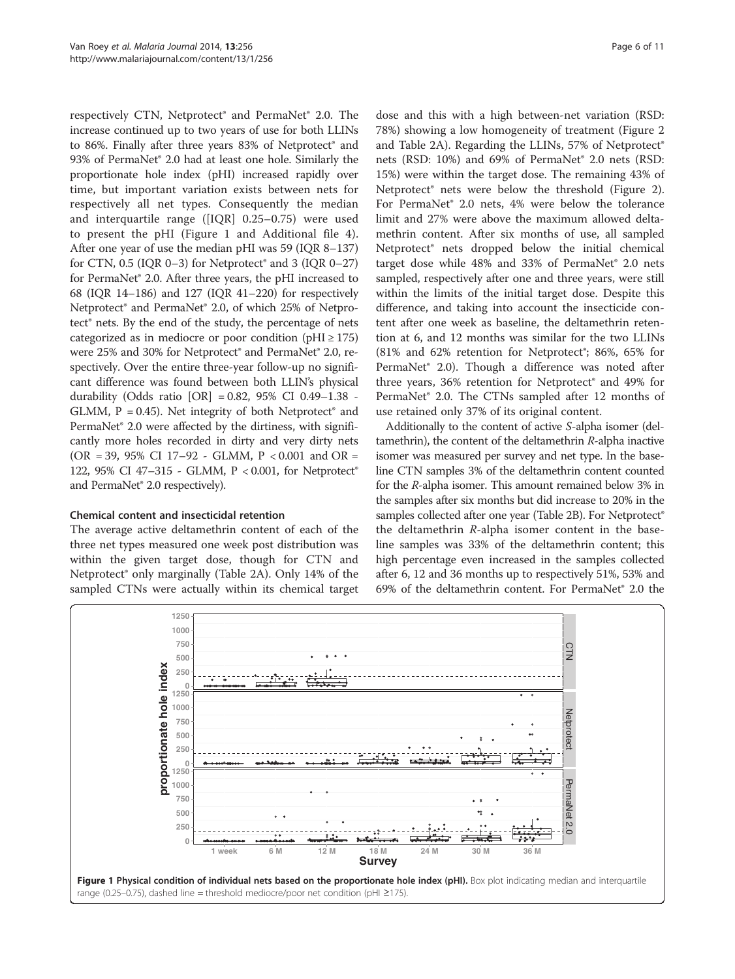respectively CTN, Netprotect® and PermaNet® 2.0. The increase continued up to two years of use for both LLINs to 86%. Finally after three years 83% of Netprotect<sup>®</sup> and 93% of PermaNet® 2.0 had at least one hole. Similarly the proportionate hole index (pHI) increased rapidly over time, but important variation exists between nets for respectively all net types. Consequently the median and interquartile range ([IQR] 0.25–0.75) were used to present the pHI (Figure 1 and Additional file [4](#page-9-0)). After one year of use the median pHI was 59 (IQR 8–137) for CTN,  $0.5$  (IQR  $0-3$ ) for Netprotect<sup>®</sup> and 3 (IQR  $0-27$ ) for PermaNet® 2.0. After three years, the pHI increased to 68 (IQR 14–186) and 127 (IQR 41–220) for respectively Netprotect® and PermaNet® 2.0, of which 25% of Netprotect® nets. By the end of the study, the percentage of nets categorized as in mediocre or poor condition (pHI  $\geq$  175) were 25% and 30% for Netprotect<sup>®</sup> and PermaNet<sup>®</sup> 2.0, respectively. Over the entire three-year follow-up no significant difference was found between both LLIN's physical durability (Odds ratio [OR] = 0.82, 95% CI 0.49–1.38 - GLMM,  $P = 0.45$ ). Net integrity of both Netprotect<sup>®</sup> and PermaNet<sup>®</sup> 2.0 were affected by the dirtiness, with significantly more holes recorded in dirty and very dirty nets (OR = 39, 95% CI 17-92 - GLMM,  $P < 0.001$  and OR = 122, 95% CI 47–315 - GLMM, P < 0.001, for Netprotect® and PermaNet® 2.0 respectively).

## Chemical content and insecticidal retention

The average active deltamethrin content of each of the three net types measured one week post distribution was within the given target dose, though for CTN and Netprotect® only marginally (Table [2A](#page-6-0)). Only 14% of the sampled CTNs were actually within its chemical target

dose and this with a high between-net variation (RSD: 78%) showing a low homogeneity of treatment (Figure [2](#page-6-0) and Table [2](#page-6-0)A). Regarding the LLINs, 57% of Netprotect® nets (RSD: 10%) and 69% of PermaNet® 2.0 nets (RSD: 15%) were within the target dose. The remaining 43% of Netprotect® nets were below the threshold (Figure [2](#page-6-0)). For PermaNet® 2.0 nets, 4% were below the tolerance limit and 27% were above the maximum allowed deltamethrin content. After six months of use, all sampled Netprotect® nets dropped below the initial chemical target dose while 48% and 33% of PermaNet® 2.0 nets sampled, respectively after one and three years, were still within the limits of the initial target dose. Despite this difference, and taking into account the insecticide content after one week as baseline, the deltamethrin retention at 6, and 12 months was similar for the two LLINs (81% and 62% retention for Netprotect®; 86%, 65% for PermaNet® 2.0). Though a difference was noted after three years, 36% retention for Netprotect® and 49% for PermaNet® 2.0. The CTNs sampled after 12 months of use retained only 37% of its original content.

Additionally to the content of active S-alpha isomer (deltamethrin), the content of the deltamethrin R-alpha inactive isomer was measured per survey and net type. In the baseline CTN samples 3% of the deltamethrin content counted for the R-alpha isomer. This amount remained below 3% in the samples after six months but did increase to 20% in the samples collected after one year (Table [2B](#page-6-0)). For Netprotect® the deltamethrin R-alpha isomer content in the baseline samples was 33% of the deltamethrin content; this high percentage even increased in the samples collected after 6, 12 and 36 months up to respectively 51%, 53% and 69% of the deltamethrin content. For PermaNet® 2.0 the

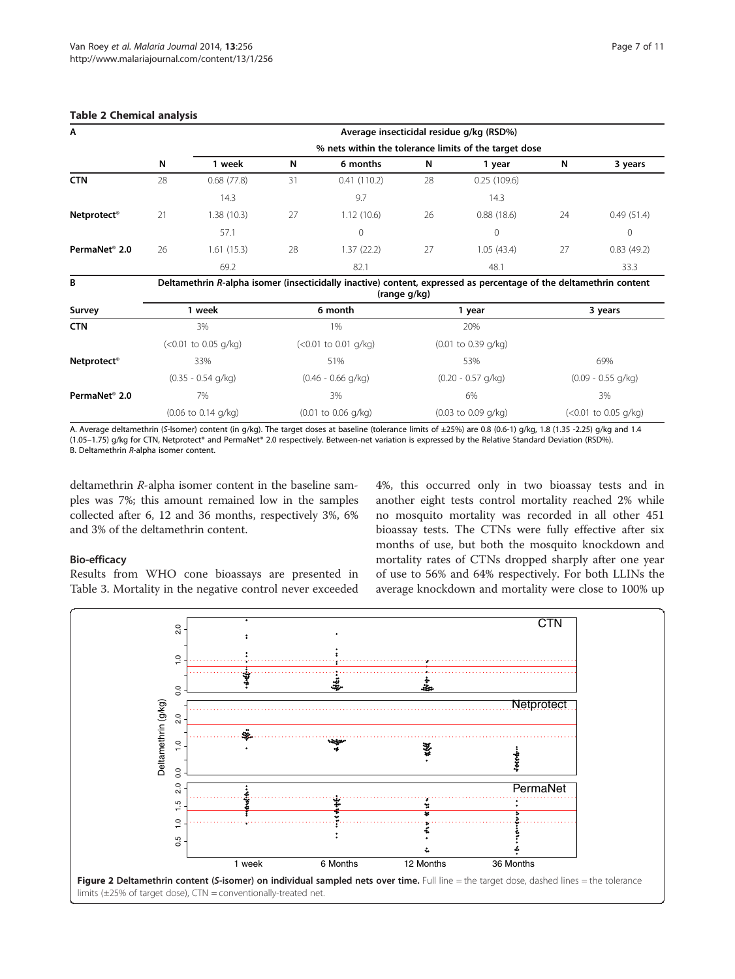<span id="page-6-0"></span>

| Α                             |    | Average insecticidal residue g/kg (RSD%) |                                                       |             |    |             |    |              |
|-------------------------------|----|------------------------------------------|-------------------------------------------------------|-------------|----|-------------|----|--------------|
|                               |    |                                          | % nets within the tolerance limits of the target dose |             |    |             |    |              |
|                               | N  | 1 week                                   | N                                                     | 6 months    | N  | 1 year      | N  | 3 years      |
| <b>CTN</b>                    | 28 | 0.68(77.8)                               | 31                                                    | 0.41(110.2) | 28 | 0.25(109.6) |    |              |
|                               |    | 14.3                                     |                                                       | 9.7         |    | 14.3        |    |              |
| <b>Netprotect<sup>®</sup></b> | 21 | 1.38 (10.3)                              | 27                                                    | 1.12(10.6)  | 26 | 0.88(18.6)  | 24 | 0.49(51.4)   |
|                               |    | 57.1                                     |                                                       | 0           |    | $\circ$     |    | $\mathbf{0}$ |
| PermaNet <sup>®</sup> 2.0     | 26 | 1.61 (15.3)                              | 28                                                    | 1.37 (22.2) | 27 | 1.05(43.4)  | 27 | 0.83(49.2)   |
|                               |    | 69.2                                     |                                                       | 82.1        |    | 48.1        |    | 33.3         |

B Deltamethrin R-alpha isomer (insecticidally inactive) content, expressed as percentage of the deltamethrin content (range g/kg)

| Survey                        | week                                   | 6 month                                | 1 year                                 | 3 years                |
|-------------------------------|----------------------------------------|----------------------------------------|----------------------------------------|------------------------|
| <b>CTN</b>                    | 3%                                     | 1%                                     | 20%                                    |                        |
|                               | $(<0.01$ to 0.05 g/kg)                 | $(<0.01$ to 0.01 g/kg)                 | $(0.01 \text{ to } 0.39 \text{ q/kg})$ |                        |
| <b>Netprotect<sup>®</sup></b> | 33%                                    | 51%                                    | 53%                                    | 69%                    |
|                               | $(0.35 - 0.54$ g/kg)                   | $(0.46 - 0.66$ g/kg)                   | $(0.20 - 0.57$ g/kg)                   | $(0.09 - 0.55$ g/kg)   |
| PermaNet <sup>®</sup> 2.0     | 7%                                     | 3%                                     | 6%                                     | 3%                     |
|                               | $(0.06 \text{ to } 0.14 \text{ q/kg})$ | $(0.01 \text{ to } 0.06 \text{ q/kg})$ | $(0.03 \text{ to } 0.09 \text{ q/kg})$ | $(<0.01$ to 0.05 g/kg) |

A. Average deltamethrin (S-Isomer) content (in g/kg). The target doses at baseline (tolerance limits of ±25%) are 0.8 (0.6-1) g/kg, 1.8 (1.35 -2.25) g/kg and 1.4 (1.05–1.75) g/kg for CTN, Netprotect® and PermaNet® 2.0 respectively. Between-net variation is expressed by the Relative Standard Deviation (RSD%). B. Deltamethrin R-alpha isomer content.

deltamethrin R-alpha isomer content in the baseline samples was 7%; this amount remained low in the samples collected after 6, 12 and 36 months, respectively 3%, 6% and 3% of the deltamethrin content.

#### Bio-efficacy

Results from WHO cone bioassays are presented in Table [3.](#page-7-0) Mortality in the negative control never exceeded 4%, this occurred only in two bioassay tests and in another eight tests control mortality reached 2% while no mosquito mortality was recorded in all other 451 bioassay tests. The CTNs were fully effective after six months of use, but both the mosquito knockdown and mortality rates of CTNs dropped sharply after one year of use to 56% and 64% respectively. For both LLINs the average knockdown and mortality were close to 100% up

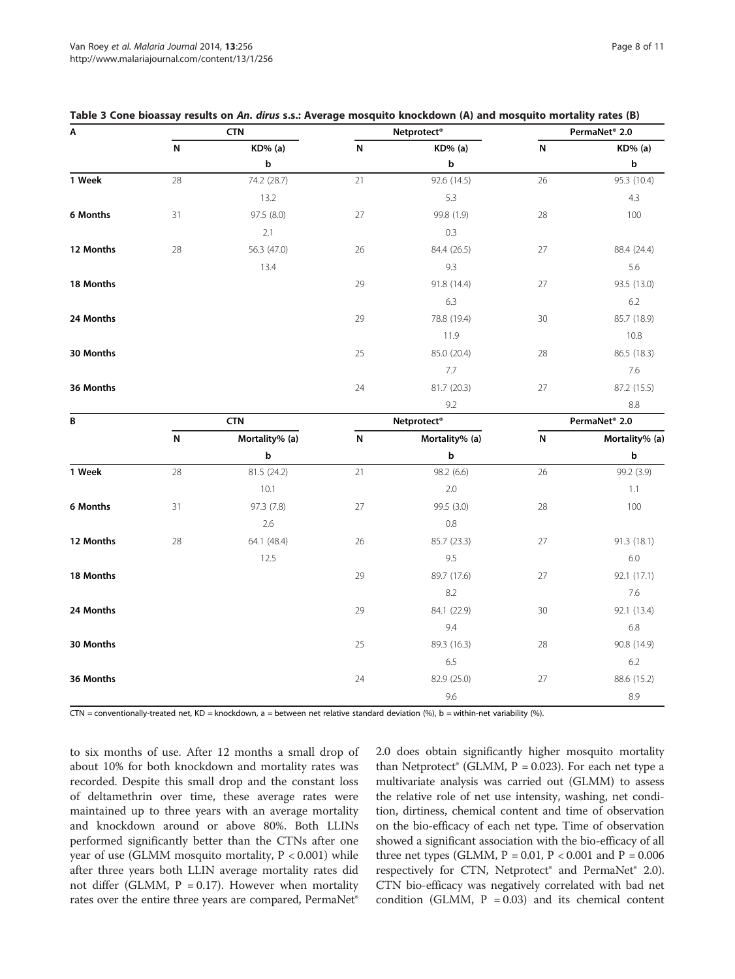| Α         | <b>CTN</b> |                           | <b>Netprotect<sup>®</sup></b> |                         | PermaNet <sup>®</sup> 2.0 |                           |
|-----------|------------|---------------------------|-------------------------------|-------------------------|---------------------------|---------------------------|
|           | N          | KD% (a)                   | N                             | KD% (a)                 | N                         | KD% (a)                   |
|           |            | $\boldsymbol{\mathsf{b}}$ |                               | $\mathbf b$             |                           | $\mathbf b$               |
| 1 Week    | 28         | 74.2 (28.7)               | 21                            | 92.6 (14.5)             | 26                        | 95.3 (10.4)               |
|           |            | 13.2                      |                               | 5.3                     |                           | 4.3                       |
| 6 Months  | 31         | 97.5 (8.0)                | 27                            | 99.8 (1.9)              | 28                        | 100                       |
|           |            | 2.1                       |                               | 0.3                     |                           |                           |
| 12 Months | 28         | 56.3 (47.0)               | 26                            | 84.4 (26.5)             | 27                        | 88.4 (24.4)               |
|           |            | 13.4                      |                               | 9.3                     |                           | 5.6                       |
| 18 Months |            |                           | 29                            | 91.8 (14.4)             | 27                        | 93.5 (13.0)               |
|           |            |                           |                               | 6.3                     |                           | $6.2\,$                   |
| 24 Months |            |                           | 29                            | 78.8 (19.4)             | 30                        | 85.7 (18.9)               |
|           |            |                           |                               | 11.9                    |                           | 10.8                      |
| 30 Months |            |                           | 25                            | 85.0 (20.4)             | 28                        | 86.5 (18.3)               |
|           |            |                           |                               | 7.7                     |                           | 7.6                       |
| 36 Months |            |                           | 24                            | 81.7 (20.3)             | 27                        | 87.2 (15.5)               |
|           |            |                           |                               | 9.2                     |                           | $8.8\,$                   |
| B         | <b>CTN</b> |                           |                               | Netprotect <sup>®</sup> |                           | PermaNet <sup>®</sup> 2.0 |
|           | ${\sf N}$  | Mortality% (a)            | ${\sf N}$                     | Mortality% (a)          | N                         | Mortality% (a)            |
|           |            | $\mathbf b$               |                               | $\mathbf b$             |                           | $\mathbf b$               |
| 1 Week    | 28         | 81.5 (24.2)               | 21                            | 98.2 (6.6)              | 26                        | 99.2 (3.9)                |
|           |            | 10.1                      |                               | 2.0                     |                           | 1.1                       |
| 6 Months  | 31         | 97.3 (7.8)                | 27                            | 99.5 (3.0)              | 28                        | 100                       |
|           |            | 2.6                       |                               | 0.8                     |                           |                           |
| 12 Months | 28         | 64.1 (48.4)               | 26                            | 85.7 (23.3)             | 27                        | 91.3 (18.1)               |
|           |            | 12.5                      |                               | 9.5                     |                           | 6.0                       |
| 18 Months |            |                           | 29                            | 89.7 (17.6)             | 27                        | 92.1 (17.1)               |
|           |            |                           |                               | 8.2                     |                           | 7.6                       |
| 24 Months |            |                           | 29                            | 84.1 (22.9)             | 30                        | 92.1 (13.4)               |
|           |            |                           |                               | 9.4                     |                           | 6.8                       |
| 30 Months |            |                           | 25                            | 89.3 (16.3)             | 28                        | 90.8 (14.9)               |
|           |            |                           |                               | 6.5                     |                           | 6.2                       |
| 36 Months |            |                           | 24                            | 82.9 (25.0)             | 27                        | 88.6 (15.2)               |
|           |            |                           |                               | 9.6                     |                           | 8.9                       |

<span id="page-7-0"></span>

| Table 3 Cone bioassay results on An. dirus s.s.: Average mosquito knockdown (A) and mosquito mortality rates (B) |  |  |  |  |
|------------------------------------------------------------------------------------------------------------------|--|--|--|--|
|------------------------------------------------------------------------------------------------------------------|--|--|--|--|

CTN = conventionally-treated net, KD = knockdown, a = between net relative standard deviation (%), b = within-net variability (%).

to six months of use. After 12 months a small drop of about 10% for both knockdown and mortality rates was recorded. Despite this small drop and the constant loss of deltamethrin over time, these average rates were maintained up to three years with an average mortality and knockdown around or above 80%. Both LLINs performed significantly better than the CTNs after one year of use (GLMM mosquito mortality, P < 0.001) while after three years both LLIN average mortality rates did not differ (GLMM,  $P = 0.17$ ). However when mortality rates over the entire three years are compared, PermaNet® 2.0 does obtain significantly higher mosquito mortality than Netprotect<sup>®</sup> (GLMM,  $P = 0.023$ ). For each net type a multivariate analysis was carried out (GLMM) to assess the relative role of net use intensity, washing, net condition, dirtiness, chemical content and time of observation on the bio-efficacy of each net type. Time of observation showed a significant association with the bio-efficacy of all three net types (GLMM,  $P = 0.01$ ,  $P < 0.001$  and  $P = 0.006$ respectively for CTN, Netprotect<sup>®</sup> and PermaNet<sup>®</sup> 2.0). CTN bio-efficacy was negatively correlated with bad net condition (GLMM,  $P = 0.03$ ) and its chemical content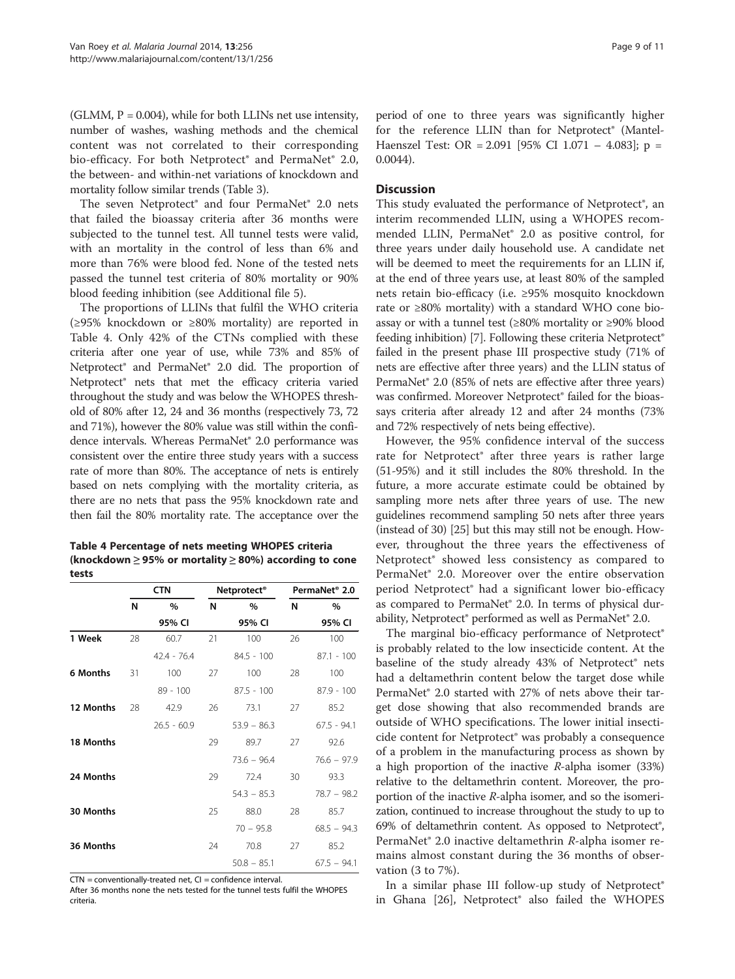(GLMM,  $P = 0.004$ ), while for both LLINs net use intensity, number of washes, washing methods and the chemical content was not correlated to their corresponding bio-efficacy. For both Netprotect<sup>®</sup> and PermaNet<sup>®</sup> 2.0, the between- and within-net variations of knockdown and mortality follow similar trends (Table [3\)](#page-7-0).

The seven Netprotect<sup>®</sup> and four PermaNet<sup>®</sup> 2.0 nets that failed the bioassay criteria after 36 months were subjected to the tunnel test. All tunnel tests were valid, with an mortality in the control of less than 6% and more than 76% were blood fed. None of the tested nets passed the tunnel test criteria of 80% mortality or 90% blood feeding inhibition (see Additional file [5\)](#page-9-0).

The proportions of LLINs that fulfil the WHO criteria (≥95% knockdown or ≥80% mortality) are reported in Table 4. Only 42% of the CTNs complied with these criteria after one year of use, while 73% and 85% of Netprotect® and PermaNet® 2.0 did. The proportion of Netprotect® nets that met the efficacy criteria varied throughout the study and was below the WHOPES threshold of 80% after 12, 24 and 36 months (respectively 73, 72 and 71%), however the 80% value was still within the confidence intervals. Whereas PermaNet® 2.0 performance was consistent over the entire three study years with a success rate of more than 80%. The acceptance of nets is entirely based on nets complying with the mortality criteria, as there are no nets that pass the 95% knockdown rate and then fail the 80% mortality rate. The acceptance over the

| Table 4 Percentage of nets meeting WHOPES criteria               |
|------------------------------------------------------------------|
| (knockdown $\geq$ 95% or mortality $\geq$ 80%) according to cone |
| tests                                                            |

|           | <b>CTN</b> |               | Netprotect <sup>®</sup> |               | PermaNet <sup>®</sup> 2.0 |               |
|-----------|------------|---------------|-------------------------|---------------|---------------------------|---------------|
|           | N          | %             | N                       | $\%$          | N                         | $\%$          |
|           |            | 95% CI        |                         | 95% CI        |                           | 95% CI        |
| 1 Week    | 28         | 60.7          | 21                      | 100           | 26                        | 100           |
|           |            | $42.4 - 76.4$ |                         | $84.5 - 100$  |                           | $87.1 - 100$  |
| 6 Months  | 31         | 100           | 27                      | 100           | 28                        | 100           |
|           |            | $89 - 100$    |                         | $87.5 - 100$  |                           | $87.9 - 100$  |
| 12 Months | 28         | 42.9          | 26                      | 73.1          | 27                        | 85.2          |
|           |            | $26.5 - 60.9$ |                         | $53.9 - 86.3$ |                           | $67.5 - 94.1$ |
| 18 Months |            |               | 29                      | 89.7          | 27                        | 92.6          |
|           |            |               |                         | $73.6 - 96.4$ |                           | $76.6 - 97.9$ |
| 24 Months |            |               | 29                      | 72.4          | 30                        | 93.3          |
|           |            |               |                         | $54.3 - 85.3$ |                           | $78.7 - 98.2$ |
| 30 Months |            |               | 25                      | 88.0          | 28                        | 85.7          |
|           |            |               |                         | $70 - 95.8$   |                           | $68.5 - 94.3$ |
| 36 Months |            |               | 24                      | 70.8          | 27                        | 85.2          |
|           |            |               |                         | $50.8 - 85.1$ |                           | $67.5 - 94.1$ |

 $CTN =$  conventionally-treated net,  $CI =$  confidence interval.

After 36 months none the nets tested for the tunnel tests fulfil the WHOPES criteria.

## **Discussion**

This study evaluated the performance of Netprotect<sup>®</sup>, an interim recommended LLIN, using a WHOPES recommended LLIN, PermaNet® 2.0 as positive control, for three years under daily household use. A candidate net will be deemed to meet the requirements for an LLIN if, at the end of three years use, at least 80% of the sampled nets retain bio-efficacy (i.e. ≥95% mosquito knockdown rate or ≥80% mortality) with a standard WHO cone bioassay or with a tunnel test (≥80% mortality or ≥90% blood feeding inhibition) [\[7\]](#page-9-0). Following these criteria Netprotect<sup>®</sup> failed in the present phase III prospective study (71% of nets are effective after three years) and the LLIN status of PermaNet® 2.0 (85% of nets are effective after three years) was confirmed. Moreover Netprotect® failed for the bioassays criteria after already 12 and after 24 months (73% and 72% respectively of nets being effective).

However, the 95% confidence interval of the success rate for Netprotect® after three years is rather large (51-95%) and it still includes the 80% threshold. In the future, a more accurate estimate could be obtained by sampling more nets after three years of use. The new guidelines recommend sampling 50 nets after three years (instead of 30) [\[25\]](#page-10-0) but this may still not be enough. However, throughout the three years the effectiveness of Netprotect® showed less consistency as compared to PermaNet® 2.0. Moreover over the entire observation period Netprotect® had a significant lower bio-efficacy as compared to PermaNet® 2.0. In terms of physical durability, Netprotect® performed as well as PermaNet® 2.0.

The marginal bio-efficacy performance of Netprotect<sup>®</sup> is probably related to the low insecticide content. At the baseline of the study already 43% of Netprotect<sup>®</sup> nets had a deltamethrin content below the target dose while PermaNet<sup>®</sup> 2.0 started with 27% of nets above their target dose showing that also recommended brands are outside of WHO specifications. The lower initial insecticide content for Netprotect® was probably a consequence of a problem in the manufacturing process as shown by a high proportion of the inactive R-alpha isomer (33%) relative to the deltamethrin content. Moreover, the proportion of the inactive R-alpha isomer, and so the isomerization, continued to increase throughout the study to up to 69% of deltamethrin content. As opposed to Netprotect®, PermaNet® 2.0 inactive deltamethrin R-alpha isomer remains almost constant during the 36 months of observation (3 to 7%).

In a similar phase III follow-up study of Netprotect<sup>®</sup> in Ghana [[26](#page-10-0)], Netprotect<sup>®</sup> also failed the WHOPES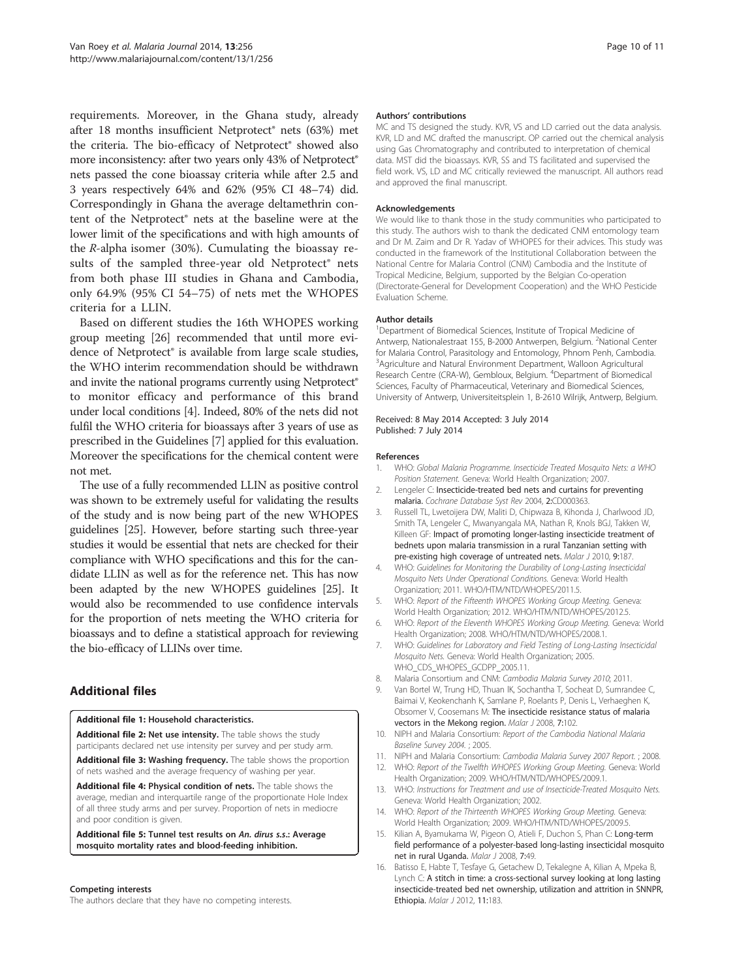<span id="page-9-0"></span>requirements. Moreover, in the Ghana study, already after 18 months insufficient Netprotect® nets (63%) met the criteria. The bio-efficacy of Netprotect<sup>®</sup> showed also more inconsistency: after two years only 43% of Netprotect<sup>®</sup> nets passed the cone bioassay criteria while after 2.5 and 3 years respectively 64% and 62% (95% CI 48–74) did. Correspondingly in Ghana the average deltamethrin content of the Netprotect® nets at the baseline were at the lower limit of the specifications and with high amounts of the R-alpha isomer (30%). Cumulating the bioassay results of the sampled three-year old Netprotect® nets from both phase III studies in Ghana and Cambodia, only 64.9% (95% CI 54–75) of nets met the WHOPES criteria for a LLIN.

Based on different studies the 16th WHOPES working group meeting [\[26](#page-10-0)] recommended that until more evidence of Netprotect<sup>®</sup> is available from large scale studies, the WHO interim recommendation should be withdrawn and invite the national programs currently using Netprotect<sup>®</sup> to monitor efficacy and performance of this brand under local conditions [4]. Indeed, 80% of the nets did not fulfil the WHO criteria for bioassays after 3 years of use as prescribed in the Guidelines [7] applied for this evaluation. Moreover the specifications for the chemical content were not met.

The use of a fully recommended LLIN as positive control was shown to be extremely useful for validating the results of the study and is now being part of the new WHOPES guidelines [[25](#page-10-0)]. However, before starting such three-year studies it would be essential that nets are checked for their compliance with WHO specifications and this for the candidate LLIN as well as for the reference net. This has now been adapted by the new WHOPES guidelines [\[25\]](#page-10-0). It would also be recommended to use confidence intervals for the proportion of nets meeting the WHO criteria for bioassays and to define a statistical approach for reviewing the bio-efficacy of LLINs over time.

## Additional files

#### [Additional file 1:](http://www.biomedcentral.com/content/supplementary/1475-2875-13-256-S1.docx) Household characteristics.

[Additional file 2:](http://www.biomedcentral.com/content/supplementary/1475-2875-13-256-S2.docx) Net use intensity. The table shows the study participants declared net use intensity per survey and per study arm.

[Additional file 3:](http://www.biomedcentral.com/content/supplementary/1475-2875-13-256-S3.docx) Washing frequency. The table shows the proportion of nets washed and the average frequency of washing per year.

[Additional file 4:](http://www.biomedcentral.com/content/supplementary/1475-2875-13-256-S4.docx) Physical condition of nets. The table shows the average, median and interquartile range of the proportionate Hole Index of all three study arms and per survey. Proportion of nets in mediocre and poor condition is given.

[Additional file 5:](http://www.biomedcentral.com/content/supplementary/1475-2875-13-256-S5.docx) Tunnel test results on An. dirus s.s.: Average mosquito mortality rates and blood-feeding inhibition.

#### Competing interests

The authors declare that they have no competing interests.

#### Authors' contributions

MC and TS designed the study. KVR, VS and LD carried out the data analysis. KVR, LD and MC drafted the manuscript. OP carried out the chemical analysis using Gas Chromatography and contributed to interpretation of chemical data. MST did the bioassays. KVR, SS and TS facilitated and supervised the field work. VS, LD and MC critically reviewed the manuscript. All authors read and approved the final manuscript.

#### Acknowledgements

We would like to thank those in the study communities who participated to this study. The authors wish to thank the dedicated CNM entomology team and Dr M. Zaim and Dr R. Yadav of WHOPES for their advices. This study was conducted in the framework of the Institutional Collaboration between the National Centre for Malaria Control (CNM) Cambodia and the Institute of Tropical Medicine, Belgium, supported by the Belgian Co-operation (Directorate-General for Development Cooperation) and the WHO Pesticide Evaluation Scheme.

#### Author details

<sup>1</sup>Department of Biomedical Sciences, Institute of Tropical Medicine of Antwerp, Nationalestraat 155, B-2000 Antwerpen, Belgium. <sup>2</sup>National Center for Malaria Control, Parasitology and Entomology, Phnom Penh, Cambodia. <sup>3</sup> Agriculture and Natural Environment Department, Walloon Agricultural Research Centre (CRA-W), Gembloux, Belgium. <sup>4</sup>Department of Biomedical Sciences, Faculty of Pharmaceutical, Veterinary and Biomedical Sciences, University of Antwerp, Universiteitsplein 1, B-2610 Wilrijk, Antwerp, Belgium.

#### Received: 8 May 2014 Accepted: 3 July 2014 Published: 7 July 2014

#### References

- 1. WHO: Global Malaria Programme. Insecticide Treated Mosquito Nets: a WHO Position Statement. Geneva: World Health Organization; 2007.
- 2. Lengeler C: Insecticide-treated bed nets and curtains for preventing malaria. Cochrane Database Syst Rev 2004, 2:CD000363.
- 3. Russell TL, Lwetoijera DW, Maliti D, Chipwaza B, Kihonda J, Charlwood JD, Smith TA, Lengeler C, Mwanyangala MA, Nathan R, Knols BGJ, Takken W, Killeen GF: Impact of promoting longer-lasting insecticide treatment of bednets upon malaria transmission in a rural Tanzanian setting with pre-existing high coverage of untreated nets. Malar J 2010, 9:187.
- WHO: Guidelines for Monitoring the Durability of Long-Lasting Insecticidal Mosquito Nets Under Operational Conditions. Geneva: World Health Organization; 2011. WHO/HTM/NTD/WHOPES/2011.5.
- 5. WHO: Report of the Fifteenth WHOPES Working Group Meeting. Geneva: World Health Organization; 2012. WHO/HTM/NTD/WHOPES/2012.5.
- 6. WHO: Report of the Eleventh WHOPES Working Group Meeting. Geneva: World Health Organization; 2008. WHO/HTM/NTD/WHOPES/2008.1.
- 7. WHO: Guidelines for Laboratory and Field Testing of Long-Lasting Insecticidal Mosquito Nets. Geneva: World Health Organization; 2005. WHO\_CDS\_WHOPES\_GCDPP\_2005.11.
- 8. Malaria Consortium and CNM: Cambodia Malaria Survey 2010; 2011.
- 9. Van Bortel W, Trung HD, Thuan lK, Sochantha T, Socheat D, Sumrandee C, Baimai V, Keokenchanh K, Samlane P, Roelants P, Denis L, Verhaeghen K, Obsomer V, Coosemans M: The insecticide resistance status of malaria vectors in the Mekong region. Malar J 2008, 7:102.
- 10. NIPH and Malaria Consortium: Report of the Cambodia National Malaria Baseline Survey 2004. ; 2005.
- 11. NIPH and Malaria Consortium: Cambodia Malaria Survey 2007 Report. ; 2008.
- 12. WHO: Report of the Twelfth WHOPES Working Group Meeting. Geneva: World Health Organization; 2009. WHO/HTM/NTD/WHOPES/2009.1.
- 13. WHO: Instructions for Treatment and use of Insecticide-Treated Mosquito Nets. Geneva: World Health Organization; 2002.
- 14. WHO: Report of the Thirteenth WHOPES Working Group Meeting. Geneva: World Health Organization; 2009. WHO/HTM/NTD/WHOPES/2009.5.
- 15. Kilian A, Byamukama W, Pigeon O, Atieli F, Duchon S, Phan C: Long-term field performance of a polyester-based long-lasting insecticidal mosquito net in rural Uganda. Malar J 2008, 7:49.
- 16. Batisso E, Habte T, Tesfaye G, Getachew D, Tekalegne A, Kilian A, Mpeka B, Lynch C: A stitch in time: a cross-sectional survey looking at long lasting insecticide-treated bed net ownership, utilization and attrition in SNNPR, Ethiopia. Malar J 2012, 11:183.